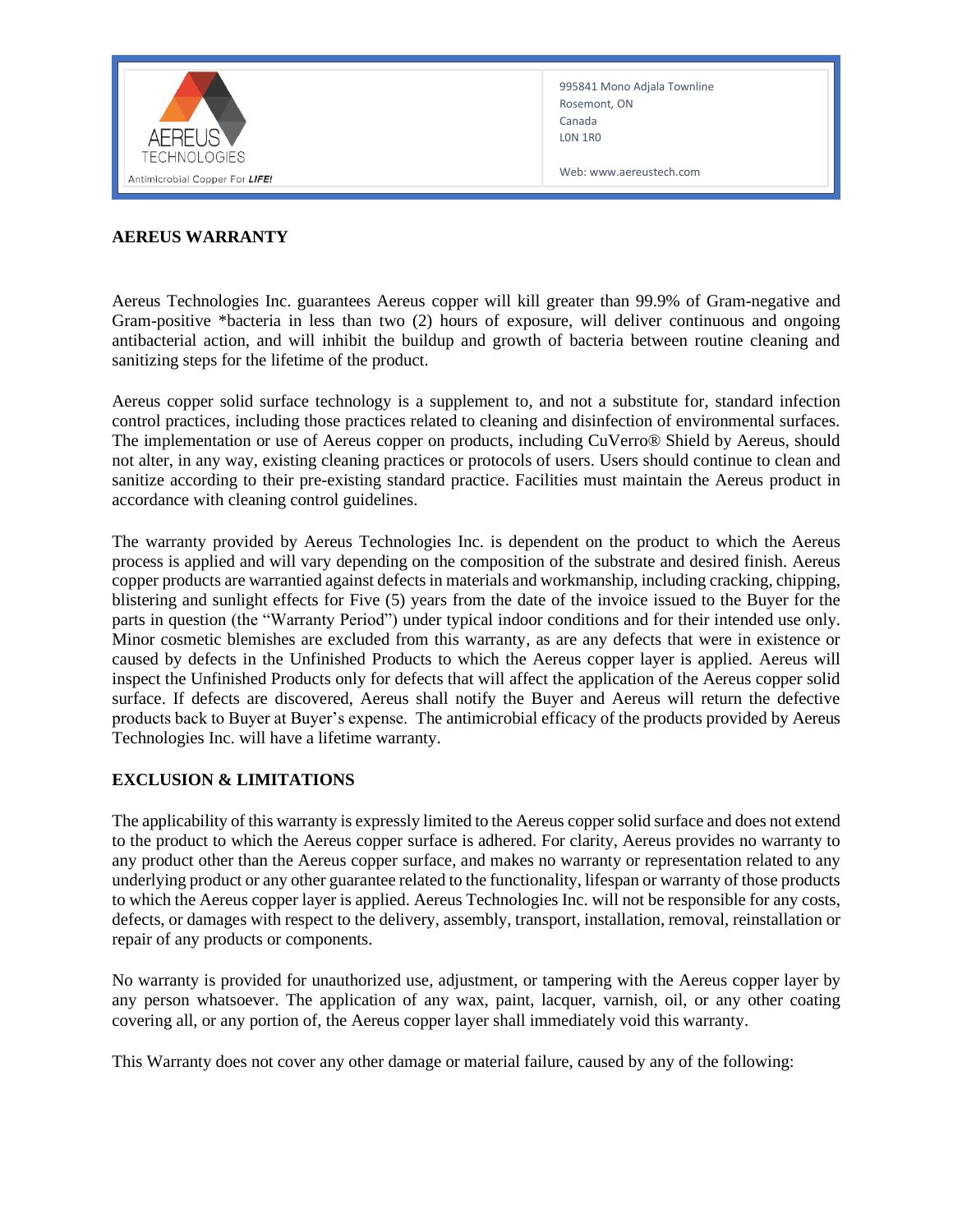

995841 Mono Adjala Townline Rosemont, ON Canada L0N 1R0

Web: www.aereustech.com

## **AEREUS WARRANTY**

Aereus Technologies Inc. guarantees Aereus copper will kill greater than 99.9% of Gram-negative and Gram-positive \*bacteria in less than two (2) hours of exposure, will deliver continuous and ongoing antibacterial action, and will inhibit the buildup and growth of bacteria between routine cleaning and sanitizing steps for the lifetime of the product.

Aereus copper solid surface technology is a supplement to, and not a substitute for, standard infection control practices, including those practices related to cleaning and disinfection of environmental surfaces. The implementation or use of Aereus copper on products, including CuVerro® Shield by Aereus, should not alter, in any way, existing cleaning practices or protocols of users. Users should continue to clean and sanitize according to their pre-existing standard practice. Facilities must maintain the Aereus product in accordance with cleaning control guidelines.

The warranty provided by Aereus Technologies Inc. is dependent on the product to which the Aereus process is applied and will vary depending on the composition of the substrate and desired finish. Aereus copper products are warrantied against defects in materials and workmanship, including cracking, chipping, blistering and sunlight effects for Five (5) years from the date of the invoice issued to the Buyer for the parts in question (the "Warranty Period") under typical indoor conditions and for their intended use only. Minor cosmetic blemishes are excluded from this warranty, as are any defects that were in existence or caused by defects in the Unfinished Products to which the Aereus copper layer is applied. Aereus will inspect the Unfinished Products only for defects that will affect the application of the Aereus copper solid surface. If defects are discovered, Aereus shall notify the Buyer and Aereus will return the defective products back to Buyer at Buyer's expense. The antimicrobial efficacy of the products provided by Aereus Technologies Inc. will have a lifetime warranty.

## **EXCLUSION & LIMITATIONS**

The applicability of this warranty is expressly limited to the Aereus copper solid surface and does not extend to the product to which the Aereus copper surface is adhered. For clarity, Aereus provides no warranty to any product other than the Aereus copper surface, and makes no warranty or representation related to any underlying product or any other guarantee related to the functionality, lifespan or warranty of those products to which the Aereus copper layer is applied. Aereus Technologies Inc. will not be responsible for any costs, defects, or damages with respect to the delivery, assembly, transport, installation, removal, reinstallation or repair of any products or components.

No warranty is provided for unauthorized use, adjustment, or tampering with the Aereus copper layer by any person whatsoever. The application of any wax, paint, lacquer, varnish, oil, or any other coating covering all, or any portion of, the Aereus copper layer shall immediately void this warranty.

This Warranty does not cover any other damage or material failure, caused by any of the following: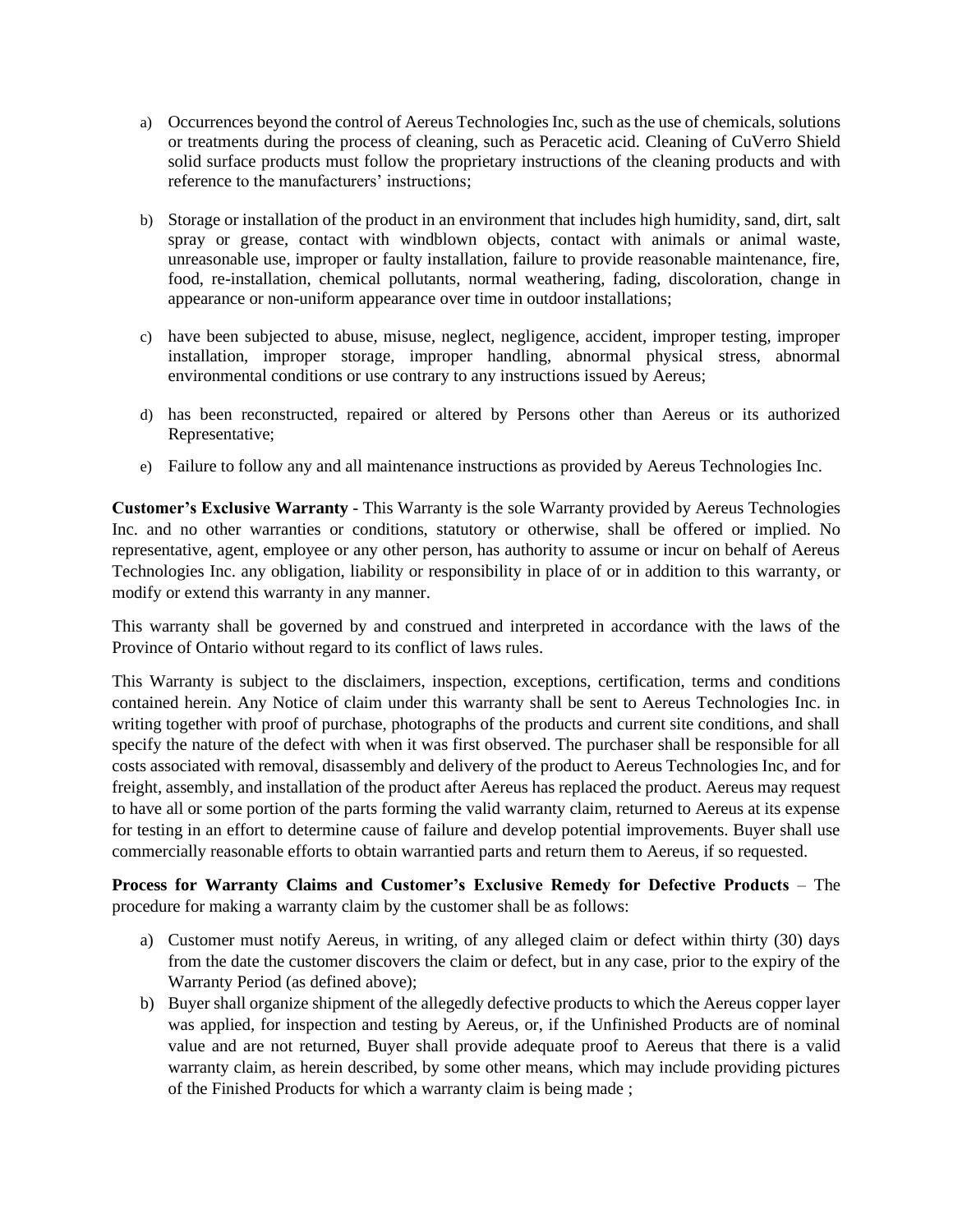- a) Occurrences beyond the control of Aereus Technologies Inc, such as the use of chemicals, solutions or treatments during the process of cleaning, such as Peracetic acid. Cleaning of CuVerro Shield solid surface products must follow the proprietary instructions of the cleaning products and with reference to the manufacturers' instructions;
- b) Storage or installation of the product in an environment that includes high humidity, sand, dirt, salt spray or grease, contact with windblown objects, contact with animals or animal waste, unreasonable use, improper or faulty installation, failure to provide reasonable maintenance, fire, food, re-installation, chemical pollutants, normal weathering, fading, discoloration, change in appearance or non-uniform appearance over time in outdoor installations;
- c) have been subjected to abuse, misuse, neglect, negligence, accident, improper testing, improper installation, improper storage, improper handling, abnormal physical stress, abnormal environmental conditions or use contrary to any instructions issued by Aereus;
- d) has been reconstructed, repaired or altered by Persons other than Aereus or its authorized Representative;
- e) Failure to follow any and all maintenance instructions as provided by Aereus Technologies Inc.

**Customer's Exclusive Warranty** - This Warranty is the sole Warranty provided by Aereus Technologies Inc. and no other warranties or conditions, statutory or otherwise, shall be offered or implied. No representative, agent, employee or any other person, has authority to assume or incur on behalf of Aereus Technologies Inc. any obligation, liability or responsibility in place of or in addition to this warranty, or modify or extend this warranty in any manner.

This warranty shall be governed by and construed and interpreted in accordance with the laws of the Province of Ontario without regard to its conflict of laws rules.

This Warranty is subject to the disclaimers, inspection, exceptions, certification, terms and conditions contained herein. Any Notice of claim under this warranty shall be sent to Aereus Technologies Inc. in writing together with proof of purchase, photographs of the products and current site conditions, and shall specify the nature of the defect with when it was first observed. The purchaser shall be responsible for all costs associated with removal, disassembly and delivery of the product to Aereus Technologies Inc, and for freight, assembly, and installation of the product after Aereus has replaced the product. Aereus may request to have all or some portion of the parts forming the valid warranty claim, returned to Aereus at its expense for testing in an effort to determine cause of failure and develop potential improvements. Buyer shall use commercially reasonable efforts to obtain warrantied parts and return them to Aereus, if so requested.

**Process for Warranty Claims and Customer's Exclusive Remedy for Defective Products** – The procedure for making a warranty claim by the customer shall be as follows:

- a) Customer must notify Aereus, in writing, of any alleged claim or defect within thirty (30) days from the date the customer discovers the claim or defect, but in any case, prior to the expiry of the Warranty Period (as defined above);
- b) Buyer shall organize shipment of the allegedly defective products to which the Aereus copper layer was applied, for inspection and testing by Aereus, or, if the Unfinished Products are of nominal value and are not returned, Buyer shall provide adequate proof to Aereus that there is a valid warranty claim, as herein described, by some other means, which may include providing pictures of the Finished Products for which a warranty claim is being made ;